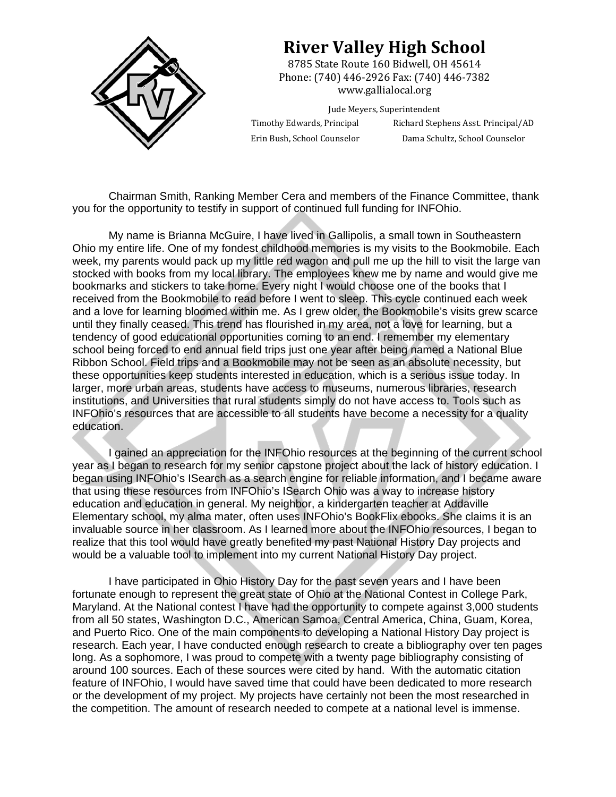

## **River Valley High School**

8785 State Route 160 Bidwell, OH 45614 Phone: (740) 446-2926 Fax: (740) 446-7382 www.gallialocal.org 

Jude Meyers, Superintendent

Timothy Edwards, Principal Richard Stephens Asst. Principal/AD Erin Bush, School Counselor Dama Schultz, School Counselor

Chairman Smith, Ranking Member Cera and members of the Finance Committee, thank you for the opportunity to testify in support of continued full funding for INFOhio.

My name is Brianna McGuire, I have lived in Gallipolis, a small town in Southeastern Ohio my entire life. One of my fondest childhood memories is my visits to the Bookmobile. Each week, my parents would pack up my little red wagon and pull me up the hill to visit the large van stocked with books from my local library. The employees knew me by name and would give me bookmarks and stickers to take home. Every night I would choose one of the books that I received from the Bookmobile to read before I went to sleep. This cycle continued each week and a love for learning bloomed within me. As I grew older, the Bookmobile's visits grew scarce until they finally ceased. This trend has flourished in my area, not a love for learning, but a tendency of good educational opportunities coming to an end. I remember my elementary school being forced to end annual field trips just one year after being named a National Blue Ribbon School. Field trips and a Bookmobile may not be seen as an absolute necessity, but these opportunities keep students interested in education, which is a serious issue today. In larger, more urban areas, students have access to museums, numerous libraries, research institutions, and Universities that rural students simply do not have access to. Tools such as INFOhio's resources that are accessible to all students have become a necessity for a quality education.

I gained an appreciation for the INFOhio resources at the beginning of the current school year as I began to research for my senior capstone project about the lack of history education. I began using INFOhio's ISearch as a search engine for reliable information, and I became aware that using these resources from INFOhio's ISearch Ohio was a way to increase history education and education in general. My neighbor, a kindergarten teacher at Addaville Elementary school, my alma mater, often uses INFOhio's BookFlix ebooks. She claims it is an invaluable source in her classroom. As I learned more about the INFOhio resources, I began to realize that this tool would have greatly benefited my past National History Day projects and would be a valuable tool to implement into my current National History Day project.

I have participated in Ohio History Day for the past seven years and I have been fortunate enough to represent the great state of Ohio at the National Contest in College Park, Maryland. At the National contest I have had the opportunity to compete against 3,000 students from all 50 states, Washington D.C., American Samoa, Central America, China, Guam, Korea, and Puerto Rico. One of the main components to developing a National History Day project is research. Each year, I have conducted enough research to create a bibliography over ten pages long. As a sophomore, I was proud to compete with a twenty page bibliography consisting of around 100 sources. Each of these sources were cited by hand. With the automatic citation feature of INFOhio, I would have saved time that could have been dedicated to more research or the development of my project. My projects have certainly not been the most researched in the competition. The amount of research needed to compete at a national level is immense.